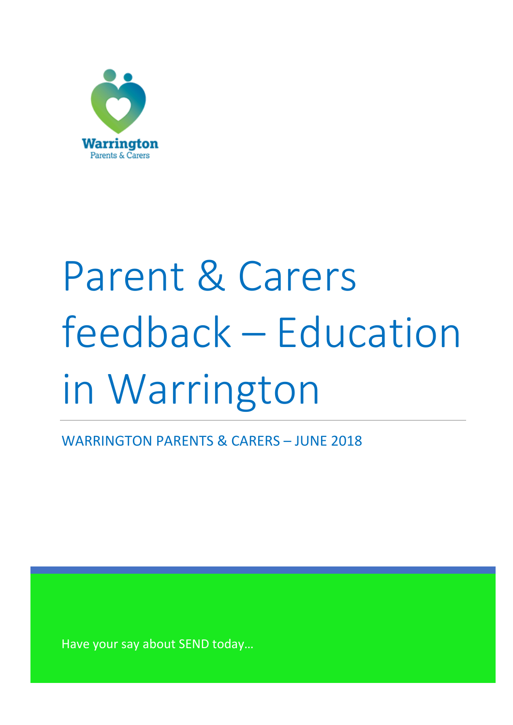

# Parent & Carers feedback – Education in Warrington

WARRINGTON PARENTS & CARERS – JUNE 2018

Have your say about SEND today…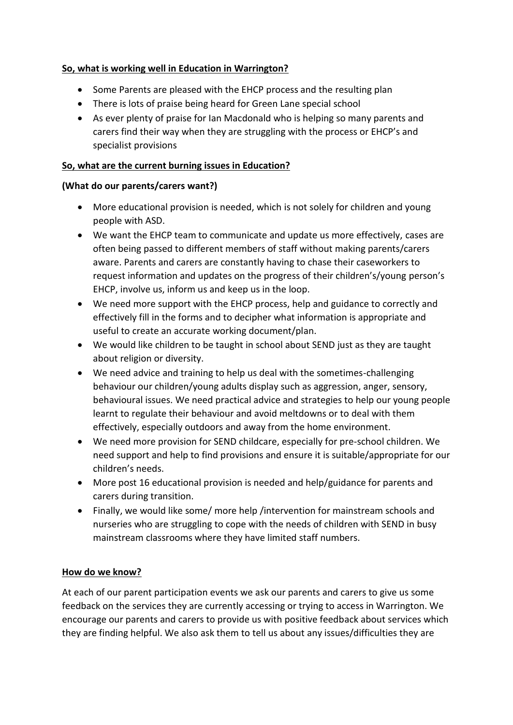## **So, what is working well in Education in Warrington?**

- Some Parents are pleased with the EHCP process and the resulting plan
- There is lots of praise being heard for Green Lane special school
- As ever plenty of praise for Ian Macdonald who is helping so many parents and carers find their way when they are struggling with the process or EHCP's and specialist provisions

## **So, what are the current burning issues in Education?**

### **(What do our parents/carers want?)**

- More educational provision is needed, which is not solely for children and young people with ASD.
- We want the EHCP team to communicate and update us more effectively, cases are often being passed to different members of staff without making parents/carers aware. Parents and carers are constantly having to chase their caseworkers to request information and updates on the progress of their children's/young person's EHCP, involve us, inform us and keep us in the loop.
- We need more support with the EHCP process, help and guidance to correctly and effectively fill in the forms and to decipher what information is appropriate and useful to create an accurate working document/plan.
- We would like children to be taught in school about SEND just as they are taught about religion or diversity.
- We need advice and training to help us deal with the sometimes-challenging behaviour our children/young adults display such as aggression, anger, sensory, behavioural issues. We need practical advice and strategies to help our young people learnt to regulate their behaviour and avoid meltdowns or to deal with them effectively, especially outdoors and away from the home environment.
- We need more provision for SEND childcare, especially for pre-school children. We need support and help to find provisions and ensure it is suitable/appropriate for our children's needs.
- More post 16 educational provision is needed and help/guidance for parents and carers during transition.
- Finally, we would like some/ more help /intervention for mainstream schools and nurseries who are struggling to cope with the needs of children with SEND in busy mainstream classrooms where they have limited staff numbers.

# **How do we know?**

At each of our parent participation events we ask our parents and carers to give us some feedback on the services they are currently accessing or trying to access in Warrington. We encourage our parents and carers to provide us with positive feedback about services which they are finding helpful. We also ask them to tell us about any issues/difficulties they are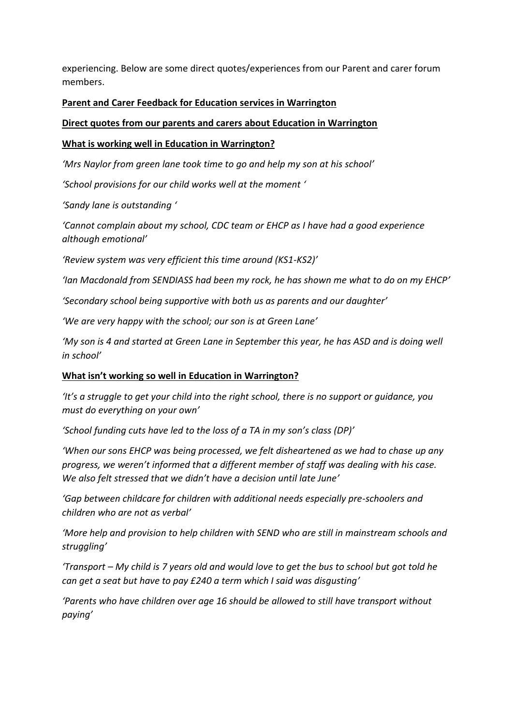experiencing. Below are some direct quotes/experiences from our Parent and carer forum members.

#### **Parent and Carer Feedback for Education services in Warrington**

#### **Direct quotes from our parents and carers about Education in Warrington**

#### **What is working well in Education in Warrington?**

*'Mrs Naylor from green lane took time to go and help my son at his school'*

*'School provisions for our child works well at the moment '*

*'Sandy lane is outstanding '*

*'Cannot complain about my school, CDC team or EHCP as I have had a good experience although emotional'*

*'Review system was very efficient this time around (KS1-KS2)'*

*'Ian Macdonald from SENDIASS had been my rock, he has shown me what to do on my EHCP'*

*'Secondary school being supportive with both us as parents and our daughter'*

*'We are very happy with the school; our son is at Green Lane'*

*'My son is 4 and started at Green Lane in September this year, he has ASD and is doing well in school'*

#### **What isn't working so well in Education in Warrington?**

*'It's a struggle to get your child into the right school, there is no support or guidance, you must do everything on your own'*

*'School funding cuts have led to the loss of a TA in my son's class (DP)'*

*'When our sons EHCP was being processed, we felt disheartened as we had to chase up any progress, we weren't informed that a different member of staff was dealing with his case. We also felt stressed that we didn't have a decision until late June'*

*'Gap between childcare for children with additional needs especially pre-schoolers and children who are not as verbal'*

*'More help and provision to help children with SEND who are still in mainstream schools and struggling'*

*'Transport – My child is 7 years old and would love to get the bus to school but got told he can get a seat but have to pay £240 a term which I said was disgusting'*

*'Parents who have children over age 16 should be allowed to still have transport without paying'*